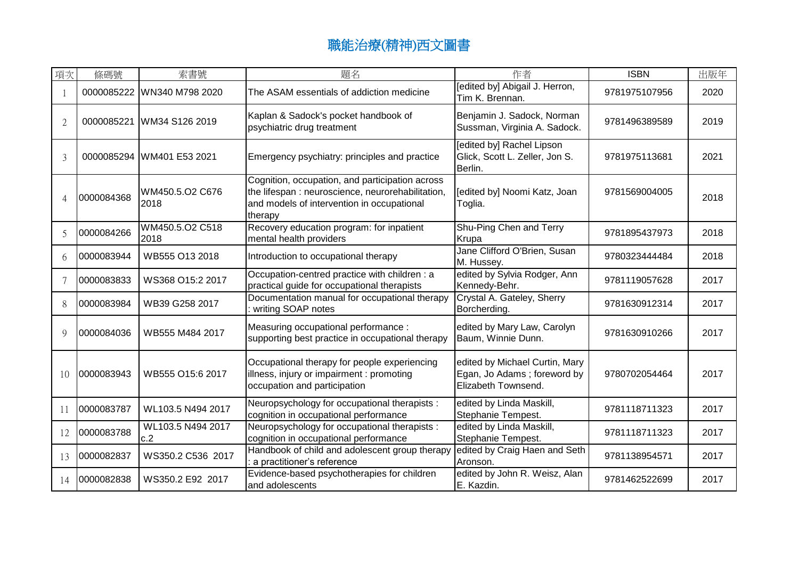| 項次             | 條碼號        | 索書號                        | 題名                                                                                                                                                            | 作者                                                                                   | <b>ISBN</b>   | 出版年  |
|----------------|------------|----------------------------|---------------------------------------------------------------------------------------------------------------------------------------------------------------|--------------------------------------------------------------------------------------|---------------|------|
|                |            | 0000085222 WN340 M798 2020 | The ASAM essentials of addiction medicine                                                                                                                     | [edited by] Abigail J. Herron,<br>Tim K. Brennan.                                    | 9781975107956 | 2020 |
| 2              | 0000085221 | WM34 S126 2019             | Kaplan & Sadock's pocket handbook of<br>psychiatric drug treatment                                                                                            | Benjamin J. Sadock, Norman<br>Sussman, Virginia A. Sadock.                           | 9781496389589 | 2019 |
| $\mathcal{E}$  |            | 0000085294 WM401 E53 2021  | Emergency psychiatry: principles and practice                                                                                                                 | [edited by] Rachel Lipson<br>Glick, Scott L. Zeller, Jon S.<br>Berlin.               | 9781975113681 | 2021 |
| $\overline{A}$ | 0000084368 | WM450.5.O2 C676<br>2018    | Cognition, occupation, and participation across<br>the lifespan : neuroscience, neurorehabilitation,<br>and models of intervention in occupational<br>therapy | [edited by] Noomi Katz, Joan<br>Toglia.                                              | 9781569004005 | 2018 |
| $\overline{5}$ | 0000084266 | WM450.5.O2 C518<br>2018    | Recovery education program: for inpatient<br>mental health providers                                                                                          | Shu-Ping Chen and Terry<br>Krupa                                                     | 9781895437973 | 2018 |
| 6              | 0000083944 | WB555 O13 2018             | Introduction to occupational therapy                                                                                                                          | Jane Clifford O'Brien, Susan<br>M. Hussey.                                           | 9780323444484 | 2018 |
| 7              | 0000083833 | WS368 O15:2 2017           | Occupation-centred practice with children : a<br>practical guide for occupational therapists                                                                  | edited by Sylvia Rodger, Ann<br>Kennedy-Behr.                                        | 9781119057628 | 2017 |
| 8              | 0000083984 | WB39 G258 2017             | Documentation manual for occupational therapy<br>writing SOAP notes                                                                                           | Crystal A. Gateley, Sherry<br>Borcherding.                                           | 9781630912314 | 2017 |
| 9              | 0000084036 | WB555 M484 2017            | Measuring occupational performance :<br>supporting best practice in occupational therapy                                                                      | edited by Mary Law, Carolyn<br>Baum, Winnie Dunn.                                    | 9781630910266 | 2017 |
| 10             | 0000083943 | WB555 O15:6 2017           | Occupational therapy for people experiencing<br>illness, injury or impairment : promoting<br>occupation and participation                                     | edited by Michael Curtin, Mary<br>Egan, Jo Adams; foreword by<br>Elizabeth Townsend. | 9780702054464 | 2017 |
| 11             | 0000083787 | WL103.5 N494 2017          | Neuropsychology for occupational therapists :<br>cognition in occupational performance                                                                        | edited by Linda Maskill,<br>Stephanie Tempest.                                       | 9781118711323 | 2017 |
| 12             | 0000083788 | WL103.5 N494 2017<br>c.2   | Neuropsychology for occupational therapists :<br>cognition in occupational performance                                                                        | edited by Linda Maskill,<br>Stephanie Tempest.                                       | 9781118711323 | 2017 |
| 13             | 0000082837 | WS350.2 C536 2017          | Handbook of child and adolescent group therapy<br>a practitioner's reference                                                                                  | edited by Craig Haen and Seth<br>Aronson.                                            | 9781138954571 | 2017 |
| 14             | 0000082838 | WS350.2 E92 2017           | Evidence-based psychotherapies for children<br>and adolescents                                                                                                | edited by John R. Weisz, Alan<br>E. Kazdin.                                          | 9781462522699 | 2017 |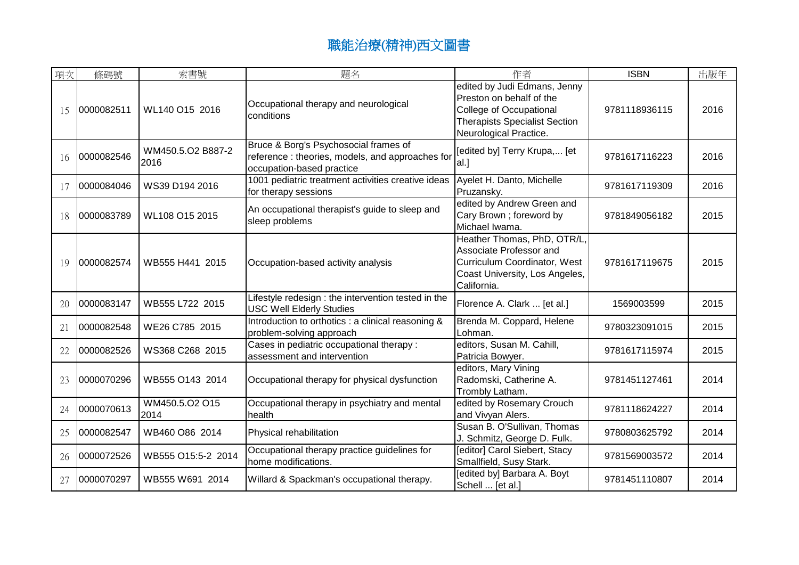| 項次 | 條碼號        | 索書號                       | 題名                                                                                                                    | 作者                                                                                                                                                    | <b>ISBN</b>   | 出版年  |
|----|------------|---------------------------|-----------------------------------------------------------------------------------------------------------------------|-------------------------------------------------------------------------------------------------------------------------------------------------------|---------------|------|
| 15 | 0000082511 | WL140 O15 2016            | Occupational therapy and neurological<br>conditions                                                                   | edited by Judi Edmans, Jenny<br>Preston on behalf of the<br>College of Occupational<br><b>Therapists Specialist Section</b><br>Neurological Practice. | 9781118936115 | 2016 |
| 16 | 0000082546 | WM450.5.O2 B887-2<br>2016 | Bruce & Borg's Psychosocial frames of<br>reference: theories, models, and approaches for<br>occupation-based practice | [edited by] Terry Krupa, [et<br>lal.]                                                                                                                 | 9781617116223 | 2016 |
| 17 | 0000084046 | WS39 D194 2016            | 1001 pediatric treatment activities creative ideas<br>for therapy sessions                                            | Ayelet H. Danto, Michelle<br>Pruzansky.                                                                                                               | 9781617119309 | 2016 |
| 18 | 0000083789 | WL108 O15 2015            | An occupational therapist's guide to sleep and<br>sleep problems                                                      | edited by Andrew Green and<br>Cary Brown ; foreword by<br>Michael Iwama.                                                                              | 9781849056182 | 2015 |
| 19 | 0000082574 | WB555 H441 2015           | Occupation-based activity analysis                                                                                    | Heather Thomas, PhD, OTR/L,<br>Associate Professor and<br>Curriculum Coordinator, West<br>Coast University, Los Angeles,<br>California.               | 9781617119675 | 2015 |
| 20 | 0000083147 | WB555 L722 2015           | Lifestyle redesign : the intervention tested in the<br><b>USC Well Elderly Studies</b>                                | Florence A. Clark  [et al.]                                                                                                                           | 1569003599    | 2015 |
| 21 | 0000082548 | WE26 C785 2015            | Introduction to orthotics : a clinical reasoning &<br>problem-solving approach                                        | Brenda M. Coppard, Helene<br>Lohman.                                                                                                                  | 9780323091015 | 2015 |
| 22 | 0000082526 | WS368 C268 2015           | Cases in pediatric occupational therapy :<br>assessment and intervention                                              | editors, Susan M. Cahill,<br>Patricia Bowyer.                                                                                                         | 9781617115974 | 2015 |
| 23 | 0000070296 | WB555 O143 2014           | Occupational therapy for physical dysfunction                                                                         | editors, Mary Vining<br>Radomski, Catherine A.<br>Trombly Latham.                                                                                     | 9781451127461 | 2014 |
| 24 | 0000070613 | WM450.5.O2 O15<br>2014    | Occupational therapy in psychiatry and mental<br>health                                                               | edited by Rosemary Crouch<br>and Vivyan Alers.                                                                                                        | 9781118624227 | 2014 |
| 25 | 0000082547 | WB460 O86 2014            | Physical rehabilitation                                                                                               | Susan B. O'Sullivan, Thomas<br>J. Schmitz, George D. Fulk.                                                                                            | 9780803625792 | 2014 |
| 26 | 0000072526 | WB555 O15:5-2 2014        | Occupational therapy practice guidelines for<br>home modifications.                                                   | [editor] Carol Siebert, Stacy<br>Smallfield, Susy Stark.                                                                                              | 9781569003572 | 2014 |
| 27 | 0000070297 | WB555 W691 2014           | Willard & Spackman's occupational therapy.                                                                            | [edited by] Barbara A. Boyt<br>Schell  [et al.]                                                                                                       | 9781451110807 | 2014 |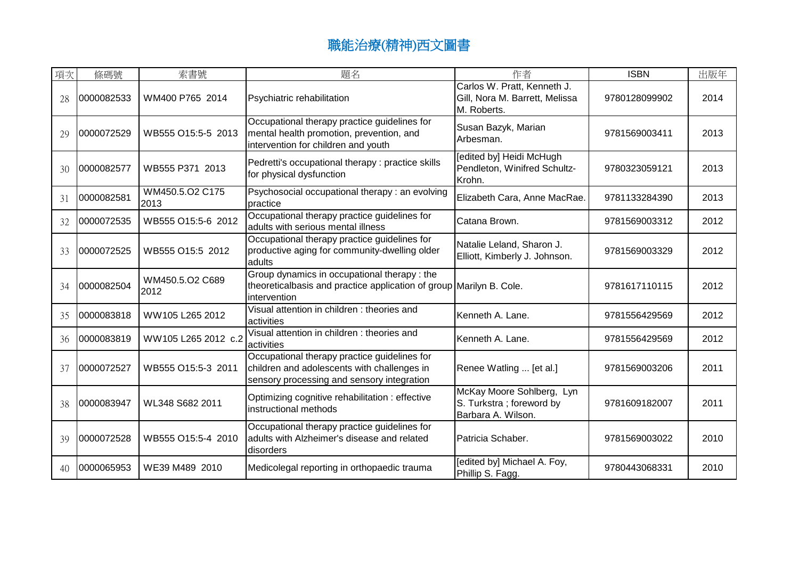| 項次 | 條碼號        | 索書號                     | 題名                                                                                                                                        | 作者                                                                           | <b>ISBN</b>   | 出版年  |
|----|------------|-------------------------|-------------------------------------------------------------------------------------------------------------------------------------------|------------------------------------------------------------------------------|---------------|------|
| 28 | 0000082533 | WM400 P765 2014         | Psychiatric rehabilitation                                                                                                                | Carlos W. Pratt, Kenneth J.<br>Gill, Nora M. Barrett, Melissa<br>M. Roberts. | 9780128099902 | 2014 |
| 29 | 0000072529 | WB555 O15:5-5 2013      | Occupational therapy practice guidelines for<br>mental health promotion, prevention, and<br>intervention for children and youth           | Susan Bazyk, Marian<br>Arbesman.                                             | 9781569003411 | 2013 |
| 30 | 0000082577 | WB555 P371 2013         | Pedretti's occupational therapy : practice skills<br>for physical dysfunction                                                             | [edited by] Heidi McHugh<br>Pendleton, Winifred Schultz-<br>Krohn.           | 9780323059121 | 2013 |
| 31 | 0000082581 | WM450.5.O2 C175<br>2013 | Psychosocial occupational therapy: an evolving<br>practice                                                                                | Elizabeth Cara, Anne MacRae.                                                 | 9781133284390 | 2013 |
| 32 | 0000072535 | WB555 O15:5-6 2012      | Occupational therapy practice guidelines for<br>adults with serious mental illness                                                        | Catana Brown.                                                                | 9781569003312 | 2012 |
| 33 | 0000072525 | WB555 O15:5 2012        | Occupational therapy practice guidelines for<br>productive aging for community-dwelling older<br>adults                                   | Natalie Leland, Sharon J.<br>Elliott, Kimberly J. Johnson.                   | 9781569003329 | 2012 |
| 34 | 0000082504 | WM450.5.O2 C689<br>2012 | Group dynamics in occupational therapy: the<br>theoreticalbasis and practice application of group Marilyn B. Cole.<br>intervention        |                                                                              | 9781617110115 | 2012 |
| 35 | 0000083818 | WW105 L265 2012         | Visual attention in children: theories and<br>activities                                                                                  | Kenneth A. Lane.                                                             | 9781556429569 | 2012 |
| 36 | 0000083819 | WW105 L265 2012 c.2     | Visual attention in children : theories and<br>activities                                                                                 | Kenneth A. Lane.                                                             | 9781556429569 | 2012 |
| 37 | 0000072527 | WB555 O15:5-3 2011      | Occupational therapy practice guidelines for<br>children and adolescents with challenges in<br>sensory processing and sensory integration | Renee Watling  [et al.]                                                      | 9781569003206 | 2011 |
| 38 | 0000083947 | WL348 S682 2011         | Optimizing cognitive rehabilitation : effective<br>instructional methods                                                                  | McKay Moore Sohlberg, Lyn<br>S. Turkstra; foreword by<br>Barbara A. Wilson.  | 9781609182007 | 2011 |
| 39 | 0000072528 | WB555 O15:5-4 2010      | Occupational therapy practice guidelines for<br>adults with Alzheimer's disease and related<br>disorders                                  | Patricia Schaber.                                                            | 9781569003022 | 2010 |
| 40 | 0000065953 | WE39 M489 2010          | Medicolegal reporting in orthopaedic trauma                                                                                               | [edited by] Michael A. Foy,<br>Phillip S. Fagg.                              | 9780443068331 | 2010 |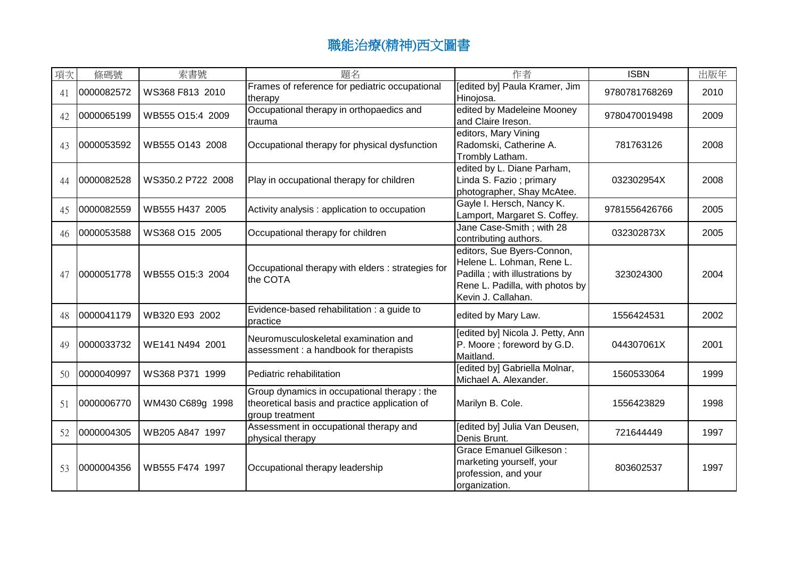| 項次 | 條碼號        | 索書號               | 題名                                                                                                              | 作者                                                                                                                                                  | <b>ISBN</b>   | 出版年  |
|----|------------|-------------------|-----------------------------------------------------------------------------------------------------------------|-----------------------------------------------------------------------------------------------------------------------------------------------------|---------------|------|
| 41 | 0000082572 | WS368 F813 2010   | Frames of reference for pediatric occupational<br>therapy                                                       | [edited by] Paula Kramer, Jim<br>Hinojosa.                                                                                                          | 9780781768269 | 2010 |
| 42 | 0000065199 | WB555 O15:4 2009  | Occupational therapy in orthopaedics and<br>trauma                                                              | edited by Madeleine Mooney<br>and Claire Ireson.                                                                                                    | 9780470019498 | 2009 |
| 43 | 0000053592 | WB555 O143 2008   | Occupational therapy for physical dysfunction                                                                   | editors, Mary Vining<br>Radomski, Catherine A.<br>Trombly Latham.                                                                                   | 781763126     | 2008 |
| 44 | 0000082528 | WS350.2 P722 2008 | Play in occupational therapy for children                                                                       | edited by L. Diane Parham,<br>Linda S. Fazio; primary<br>photographer, Shay McAtee.                                                                 | 032302954X    | 2008 |
| 45 | 0000082559 | WB555 H437 2005   | Activity analysis: application to occupation                                                                    | Gayle I. Hersch, Nancy K.<br>Lamport, Margaret S. Coffey.                                                                                           | 9781556426766 | 2005 |
| 46 | 0000053588 | WS368 O15 2005    | Occupational therapy for children                                                                               | Jane Case-Smith; with 28<br>contributing authors.                                                                                                   | 032302873X    | 2005 |
| 47 | 0000051778 | WB555 O15:3 2004  | Occupational therapy with elders: strategies for<br>the COTA                                                    | editors, Sue Byers-Connon,<br>Helene L. Lohman, Rene L.<br>Padilla ; with illustrations by<br>Rene L. Padilla, with photos by<br>Kevin J. Callahan. | 323024300     | 2004 |
| 48 | 0000041179 | WB320 E93 2002    | Evidence-based rehabilitation : a guide to<br>practice                                                          | edited by Mary Law.                                                                                                                                 | 1556424531    | 2002 |
| 49 | 0000033732 | WE141 N494 2001   | Neuromusculoskeletal examination and<br>assessment : a handbook for therapists                                  | [edited by] Nicola J. Petty, Ann<br>P. Moore; foreword by G.D.<br>Maitland.                                                                         | 044307061X    | 2001 |
| 50 | 0000040997 | WS368 P371 1999   | Pediatric rehabilitation                                                                                        | [edited by] Gabriella Molnar,<br>Michael A. Alexander.                                                                                              | 1560533064    | 1999 |
| 51 | 0000006770 | WM430 C689g 1998  | Group dynamics in occupational therapy: the<br>theoretical basis and practice application of<br>group treatment | Marilyn B. Cole.                                                                                                                                    | 1556423829    | 1998 |
| 52 | 0000004305 | WB205 A847 1997   | Assessment in occupational therapy and<br>physical therapy                                                      | [edited by] Julia Van Deusen,<br>Denis Brunt.                                                                                                       | 721644449     | 1997 |
| 53 | 0000004356 | WB555 F474 1997   | Occupational therapy leadership                                                                                 | Grace Emanuel Gilkeson:<br>marketing yourself, your<br>profession, and your<br>organization.                                                        | 803602537     | 1997 |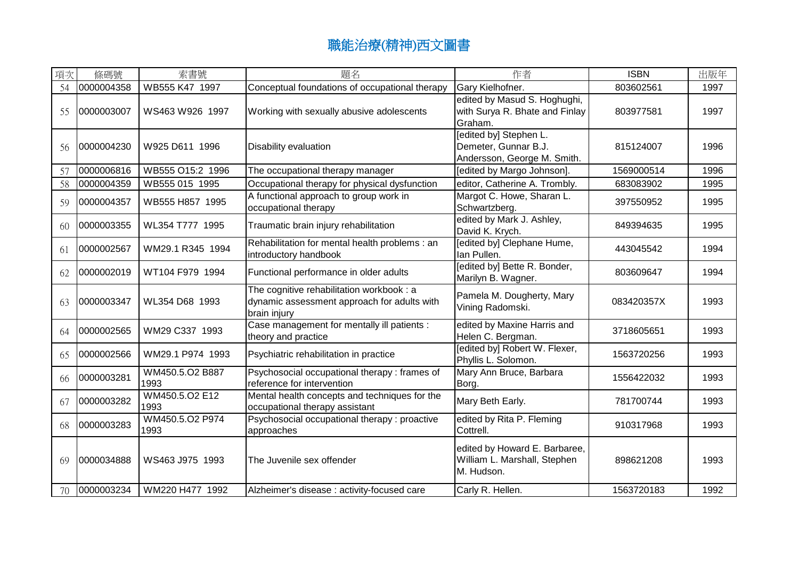| 項次 | 條碼號        | 索書號                     | 題名                                                                                                       | 作者                                                                            | <b>ISBN</b> | 出版年  |
|----|------------|-------------------------|----------------------------------------------------------------------------------------------------------|-------------------------------------------------------------------------------|-------------|------|
| 54 | 0000004358 | WB555 K47 1997          | Conceptual foundations of occupational therapy                                                           | Gary Kielhofner.                                                              | 803602561   | 1997 |
| 55 | 0000003007 | WS463 W926 1997         | Working with sexually abusive adolescents                                                                | edited by Masud S. Hoghughi,<br>with Surya R. Bhate and Finlay<br>Graham.     | 803977581   | 1997 |
| 56 | 0000004230 | W925 D611 1996          | Disability evaluation                                                                                    | [edited by] Stephen L.<br>Demeter, Gunnar B.J.<br>Andersson, George M. Smith. | 815124007   | 1996 |
| 57 | 0000006816 | WB555 O15:2 1996        | The occupational therapy manager                                                                         | [edited by Margo Johnson].                                                    | 1569000514  | 1996 |
| 58 | 0000004359 | WB555 015 1995          | Occupational therapy for physical dysfunction                                                            | editor, Catherine A. Trombly.                                                 | 683083902   | 1995 |
| 59 | 0000004357 | WB555 H857 1995         | A functional approach to group work in<br>occupational therapy                                           | Margot C. Howe, Sharan L.<br>Schwartzberg.                                    | 397550952   | 1995 |
| 60 | 0000003355 | WL354 T777 1995         | Traumatic brain injury rehabilitation                                                                    | edited by Mark J. Ashley,<br>David K. Krych.                                  | 849394635   | 1995 |
| 61 | 0000002567 | WM29.1 R345 1994        | Rehabilitation for mental health problems : an<br>introductory handbook                                  | [edited by] Clephane Hume,<br>Ian Pullen.                                     | 443045542   | 1994 |
| 62 | 0000002019 | WT104 F979 1994         | Functional performance in older adults                                                                   | [edited by] Bette R. Bonder,<br>Marilyn B. Wagner.                            | 803609647   | 1994 |
| 63 | 0000003347 | WL354 D68 1993          | The cognitive rehabilitation workbook : a<br>dynamic assessment approach for adults with<br>brain injury | Pamela M. Dougherty, Mary<br>Vining Radomski.                                 | 083420357X  | 1993 |
| 64 | 0000002565 | WM29 C337 1993          | Case management for mentally ill patients :<br>theory and practice                                       | edited by Maxine Harris and<br>Helen C. Bergman.                              | 3718605651  | 1993 |
| 65 | 0000002566 | WM29.1 P974 1993        | Psychiatric rehabilitation in practice                                                                   | [edited by] Robert W. Flexer,<br>Phyllis L. Solomon.                          | 1563720256  | 1993 |
| 66 | 0000003281 | WM450.5.O2 B887<br>1993 | Psychosocial occupational therapy: frames of<br>reference for intervention                               | Mary Ann Bruce, Barbara<br>Borg.                                              | 1556422032  | 1993 |
| 67 | 0000003282 | WM450.5.O2 E12<br>1993  | Mental health concepts and techniques for the<br>occupational therapy assistant                          | Mary Beth Early.                                                              | 781700744   | 1993 |
| 68 | 0000003283 | WM450.5.O2 P974<br>1993 | Psychosocial occupational therapy: proactive<br>approaches                                               | edited by Rita P. Fleming<br>Cottrell.                                        | 910317968   | 1993 |
| 69 | 0000034888 | WS463 J975 1993         | The Juvenile sex offender                                                                                | edited by Howard E. Barbaree,<br>William L. Marshall, Stephen<br>M. Hudson.   | 898621208   | 1993 |
| 70 | 0000003234 | WM220 H477 1992         | Alzheimer's disease : activity-focused care                                                              | Carly R. Hellen.                                                              | 1563720183  | 1992 |